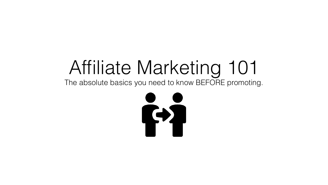#### Affiliate Marketing 101 The absolute basics you need to know BEFORE promoting.

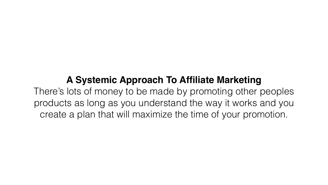#### **A Systemic Approach To Affiliate Marketing**

There's lots of money to be made by promoting other peoples products as long as you understand the way it works and you create a plan that will maximize the time of your promotion.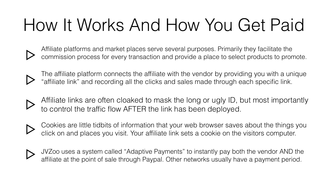### How It Works And How You Get Paid



Affiliate platforms and market places serve several purposes. Primarily they facilitate the commission process for every transaction and provide a place to select products to promote.



The affiliate platform connects the affiliate with the vendor by providing you with a unique "affiliate link" and recording all the clicks and sales made through each specific link.



Affiliate links are often cloaked to mask the long or ugly ID, but most importantly

to control the traffic flow AFTER the link has been deployed.





Cookies are little tidbits of information that your web browser saves about the things you click on and places you visit. Your affiliate link sets a cookie on the visitors computer.

JVZoo uses a system called "Adaptive Payments" to instantly pay both the vendor AND the affiliate at the point of sale through Paypal. Other networks usually have a payment period.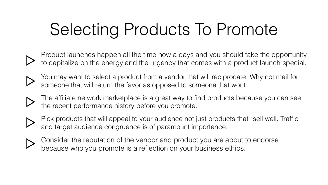# Selecting Products To Promote

- Product launches happen all the time now a days and you should take the opportunity to capitalize on the energy and the urgency that comes with a product launch special.
	- You may want to select a product from a vendor that will reciprocate. Why not mail for someone that will return the favor as opposed to someone that wont.
	- The affiliate network marketplace is a great way to find products because you can see the recent performance history before you promote.
- and target audience congruence is of paramount importance.
- Consider the reputation of the vendor and product you are about to endorse because who you promote is a reflection on your business ethics.
- Pick products that will appeal to your audience not just products that "sell well. Traffic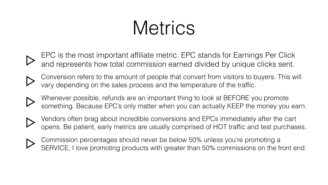# Metrics

- EPC is the most important affiliate metric. EPC stands for Earnings Per Click and represents how total commission earned divided by unique clicks sent.
- 
- Conversion refers to the amount of people that convert from visitors to buyers. This will vary depending on the sales process and the temperature of the traffic.
- 
- Whenever possible, refunds are an important thing to look at BEFORE you promote something. Because EPC's only matter when you can actually KEEP the money you earn.
- 
- Vendors often brag about incredible conversions and EPCs immediately after the cart opens. Be patient, early metrics are usually comprised of HOT traffic and test purchases.



Commission percentages should never be below 50% unless you're promoting a SERVICE, I love promoting products with greater than 50% commissions on the front end.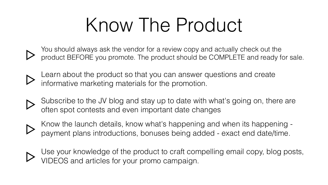# Know The Product

- You should always ask the vendor for a review copy and actually check out the product BEFORE you promote. The product should be COMPLETE and ready for sale.
- Learn about the product so that you can answer questions and create
- Subscribe to the JV blog and stay up to date with what's going on, there are
- Know the launch details, know what's happening and when its happening payment plans introductions, bonuses being added - exact end date/time.
- Use your knowledge of the product to craft compelling email copy, blog posts,